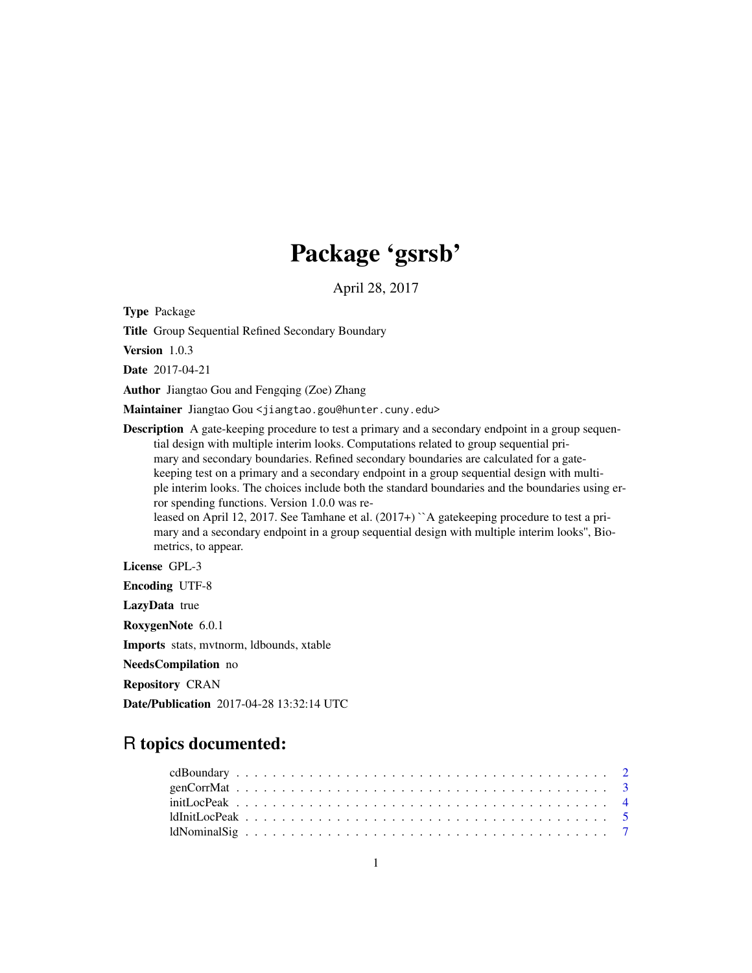# Package 'gsrsb'

April 28, 2017

Type Package

Title Group Sequential Refined Secondary Boundary

Version 1.0.3

Date 2017-04-21

Author Jiangtao Gou and Fengqing (Zoe) Zhang

Maintainer Jiangtao Gou <jiangtao.gou@hunter.cuny.edu>

**Description** A gate-keeping procedure to test a primary and a secondary endpoint in a group sequential design with multiple interim looks. Computations related to group sequential primary and secondary boundaries. Refined secondary boundaries are calculated for a gatekeeping test on a primary and a secondary endpoint in a group sequential design with multiple interim looks. The choices include both the standard boundaries and the boundaries using error spending functions. Version 1.0.0 was released on April 12, 2017. See Tamhane et al. (2017+) ``A gatekeeping procedure to test a primary and a secondary endpoint in a group sequential design with multiple interim looks'', Bio-

metrics, to appear.

License GPL-3

Encoding UTF-8

LazyData true

RoxygenNote 6.0.1

Imports stats, mvtnorm, ldbounds, xtable

NeedsCompilation no

Repository CRAN

Date/Publication 2017-04-28 13:32:14 UTC

# R topics documented:

| $initLocPeak \ldots \ldots \ldots \ldots \ldots \ldots \ldots \ldots \ldots \ldots \ldots \ldots \ldots$                    |  |  |  |  |  |  |  |  |  |  |  |  |  |  |  |  |  |  |  |  |  |
|-----------------------------------------------------------------------------------------------------------------------------|--|--|--|--|--|--|--|--|--|--|--|--|--|--|--|--|--|--|--|--|--|
| $ldInitLocPeak \dots \dots \dots \dots \dots \dots \dots \dots \dots \dots \dots \dots \dots \dots \dots \dots \dots \dots$ |  |  |  |  |  |  |  |  |  |  |  |  |  |  |  |  |  |  |  |  |  |
|                                                                                                                             |  |  |  |  |  |  |  |  |  |  |  |  |  |  |  |  |  |  |  |  |  |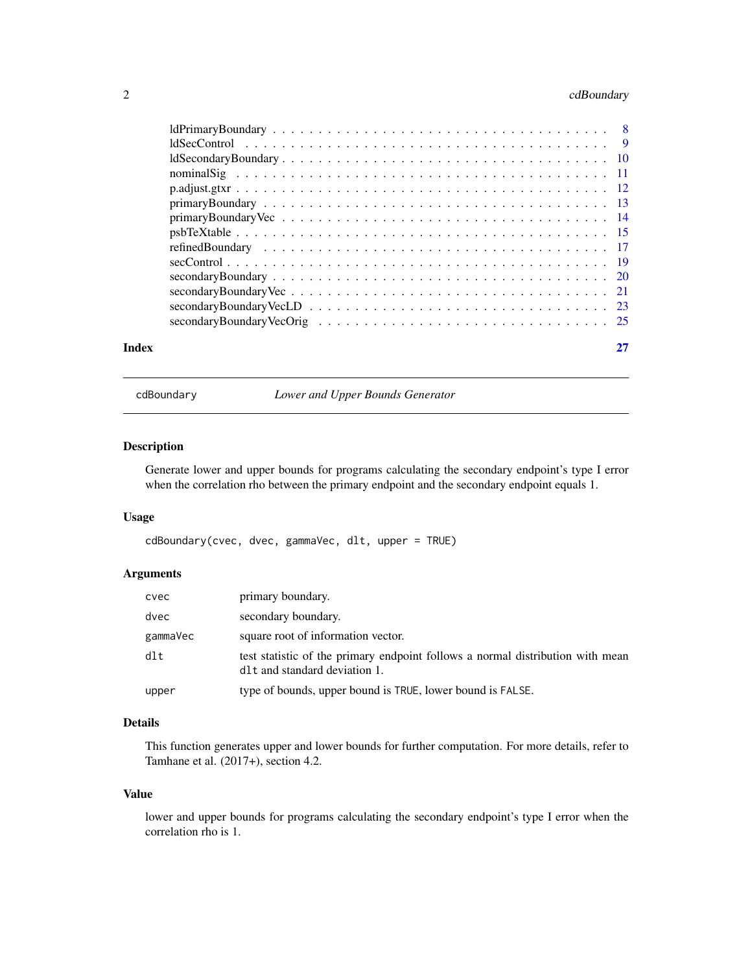# <span id="page-1-0"></span>2 cdBoundary

|       | $\alpha$ secondary Boundary VecOrig $\ldots \ldots \ldots \ldots \ldots \ldots \ldots \ldots \ldots \ldots \ldots \ldots \ldots$ |  |
|-------|----------------------------------------------------------------------------------------------------------------------------------|--|
| Index |                                                                                                                                  |  |

cdBoundary *Lower and Upper Bounds Generator*

# Description

Generate lower and upper bounds for programs calculating the secondary endpoint's type I error when the correlation rho between the primary endpoint and the secondary endpoint equals 1.

#### Usage

cdBoundary(cvec, dvec, gammaVec, dlt, upper = TRUE)

# Arguments

| cvec     | primary boundary.                                                                                                            |
|----------|------------------------------------------------------------------------------------------------------------------------------|
| dvec     | secondary boundary.                                                                                                          |
| gammaVec | square root of information vector.                                                                                           |
| dlt      | test statistic of the primary endpoint follows a normal distribution with mean<br>d <sub>1</sub> t and standard deviation 1. |
| upper    | type of bounds, upper bound is TRUE, lower bound is FALSE.                                                                   |

# Details

This function generates upper and lower bounds for further computation. For more details, refer to Tamhane et al. (2017+), section 4.2.

#### Value

lower and upper bounds for programs calculating the secondary endpoint's type I error when the correlation rho is 1.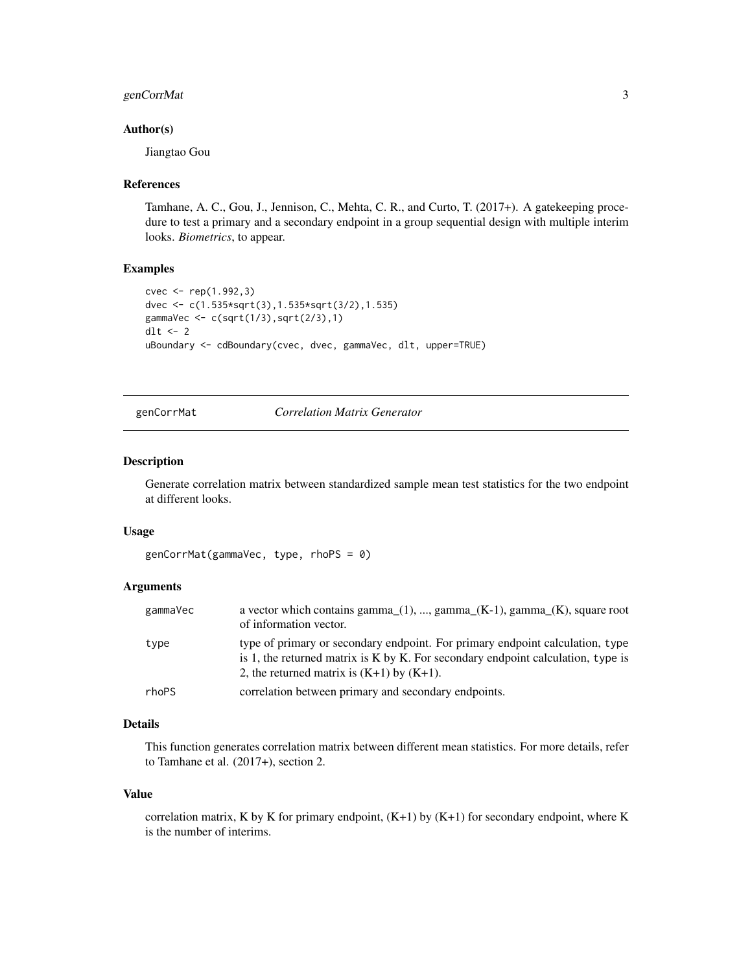# <span id="page-2-0"></span>genCorrMat 3

### Author(s)

Jiangtao Gou

#### References

Tamhane, A. C., Gou, J., Jennison, C., Mehta, C. R., and Curto, T. (2017+). A gatekeeping procedure to test a primary and a secondary endpoint in a group sequential design with multiple interim looks. *Biometrics*, to appear.

#### Examples

```
cvec <- rep(1.992,3)
dvec <- c(1.535*sqrt(3),1.535*sqrt(3/2),1.535)
gammaVec <- c(sqrt(1/3),sqrt(2/3),1)
dlt <- 2
uBoundary <- cdBoundary(cvec, dvec, gammaVec, dlt, upper=TRUE)
```
# genCorrMat *Correlation Matrix Generator*

# Description

Generate correlation matrix between standardized sample mean test statistics for the two endpoint at different looks.

#### Usage

```
genCorrMat(gammaVec, type, rhoPS = 0)
```
# Arguments

| gammaVec | a vector which contains gamma $(1)$ , , gamma $(K-1)$ , gamma $(K)$ , square root<br>of information vector.                                                                                                              |
|----------|--------------------------------------------------------------------------------------------------------------------------------------------------------------------------------------------------------------------------|
| type     | type of primary or secondary endpoint. For primary endpoint calculation, type<br>is 1, the returned matrix is $K$ by $K$ . For secondary endpoint calculation, type is<br>2, the returned matrix is $(K+1)$ by $(K+1)$ . |
| rhoPS    | correlation between primary and secondary endpoints.                                                                                                                                                                     |

# Details

This function generates correlation matrix between different mean statistics. For more details, refer to Tamhane et al. (2017+), section 2.

#### Value

correlation matrix, K by K for primary endpoint,  $(K+1)$  by  $(K+1)$  for secondary endpoint, where K is the number of interims.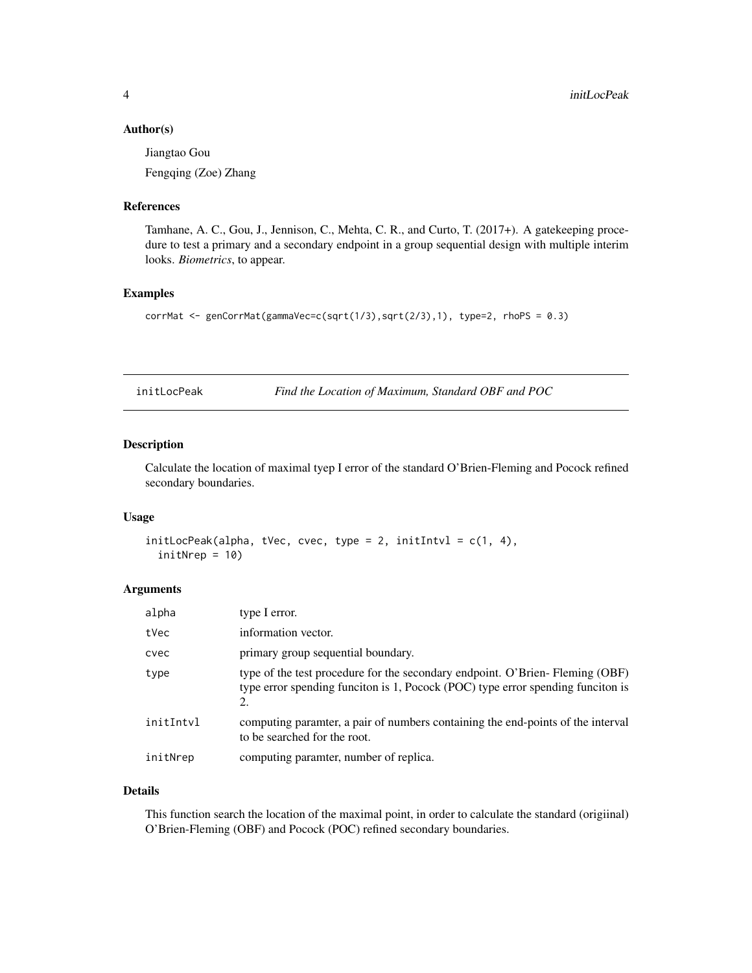#### <span id="page-3-0"></span>Author(s)

Jiangtao Gou

Fengqing (Zoe) Zhang

# References

Tamhane, A. C., Gou, J., Jennison, C., Mehta, C. R., and Curto, T. (2017+). A gatekeeping procedure to test a primary and a secondary endpoint in a group sequential design with multiple interim looks. *Biometrics*, to appear.

# Examples

```
corrMat <- genCorrMat(gammaVec=c(sqrt(1/3),sqrt(2/3),1), type=2, rhoPS = 0.3)
```
initLocPeak *Find the Location of Maximum, Standard OBF and POC*

# Description

Calculate the location of maximal tyep I error of the standard O'Brien-Fleming and Pocock refined secondary boundaries.

#### Usage

```
initLocPeak(alpha, tVec, cvec, type = 2, initIntvl = c(1, 4),initNrep = 10)
```
# Arguments

| alpha     | type I error.                                                                                                                                                         |
|-----------|-----------------------------------------------------------------------------------------------------------------------------------------------------------------------|
| tVec      | information vector.                                                                                                                                                   |
| cvec      | primary group sequential boundary.                                                                                                                                    |
| type      | type of the test procedure for the secondary endpoint. O'Brien-Fleming (OBF)<br>type error spending funciton is 1, Pocock (POC) type error spending funciton is<br>2. |
| initIntvl | computing parametric a pair of numbers containing the end-points of the interval<br>to be searched for the root.                                                      |
| initNrep  | computing paramter, number of replica.                                                                                                                                |

# Details

This function search the location of the maximal point, in order to calculate the standard (origiinal) O'Brien-Fleming (OBF) and Pocock (POC) refined secondary boundaries.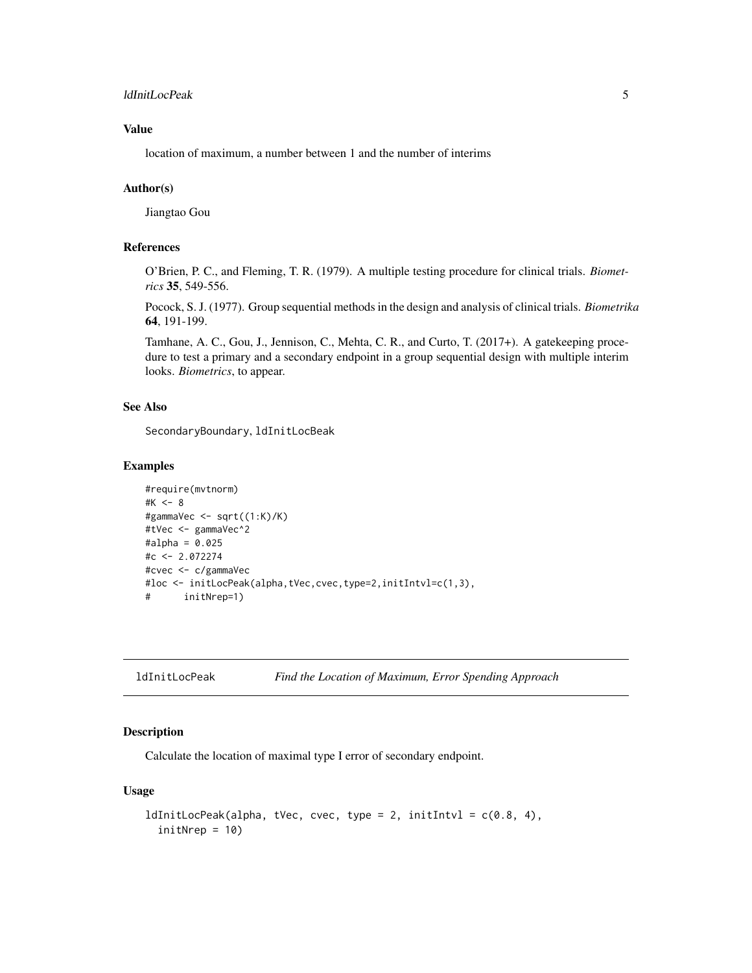# <span id="page-4-0"></span>ldInitLocPeak 5

# Value

location of maximum, a number between 1 and the number of interims

# Author(s)

Jiangtao Gou

# References

O'Brien, P. C., and Fleming, T. R. (1979). A multiple testing procedure for clinical trials. *Biometrics* 35, 549-556.

Pocock, S. J. (1977). Group sequential methods in the design and analysis of clinical trials. *Biometrika* 64, 191-199.

Tamhane, A. C., Gou, J., Jennison, C., Mehta, C. R., and Curto, T. (2017+). A gatekeeping procedure to test a primary and a secondary endpoint in a group sequential design with multiple interim looks. *Biometrics*, to appear.

# See Also

SecondaryBoundary, ldInitLocBeak

#### Examples

```
#require(mvtnorm)
#K <- 8
#gammaVec <- sqrt((1:K)/K)
#tVec <- gammaVec^2
#alpha = 0.025#c <- 2.072274
#cvec <- c/gammaVec
#loc <- initLocPeak(alpha,tVec,cvec,type=2,initIntvl=c(1,3),
# initNrep=1)
```
ldInitLocPeak *Find the Location of Maximum, Error Spending Approach*

#### Description

Calculate the location of maximal type I error of secondary endpoint.

# Usage

```
ldInitLocPeak(alpha, tVec, cvec, type = 2, initIntvl = c(0.8, 4),
  initNrep = 10)
```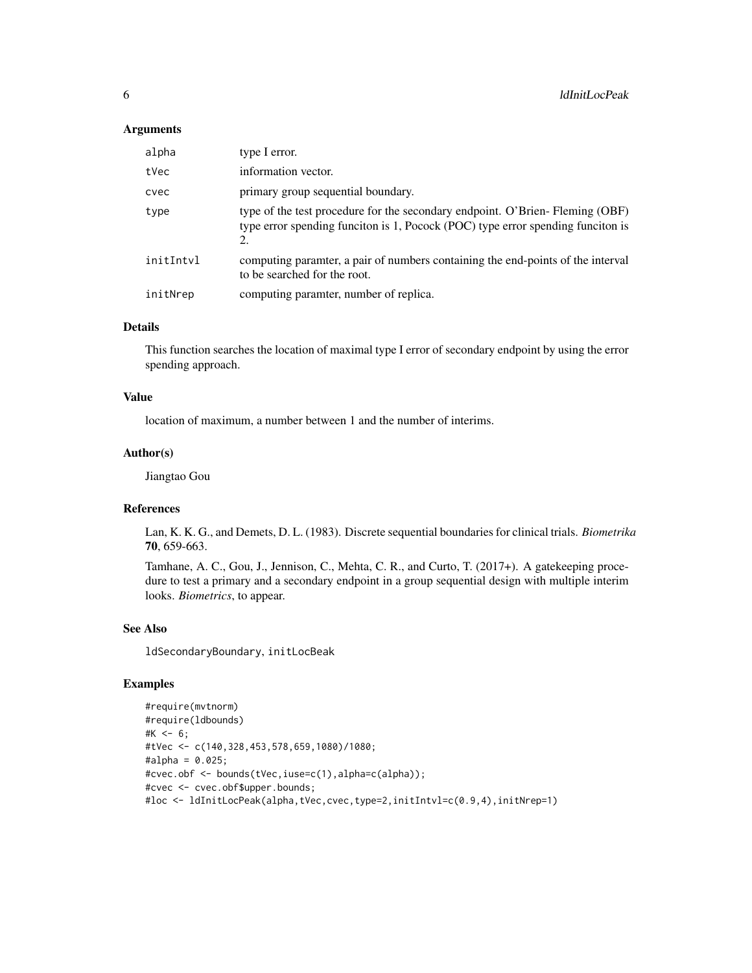#### Arguments

| alpha     | type I error.                                                                                                                                                   |
|-----------|-----------------------------------------------------------------------------------------------------------------------------------------------------------------|
| tVec      | information vector.                                                                                                                                             |
| cvec      | primary group sequential boundary.                                                                                                                              |
| type      | type of the test procedure for the secondary endpoint. O'Brien-Fleming (OBF)<br>type error spending funciton is 1, Pocock (POC) type error spending funciton is |
| initIntvl | computing parametric a pair of numbers containing the end-points of the interval<br>to be searched for the root.                                                |
| initNrep  | computing paramter, number of replica.                                                                                                                          |

# Details

This function searches the location of maximal type I error of secondary endpoint by using the error spending approach.

# Value

location of maximum, a number between 1 and the number of interims.

# Author(s)

Jiangtao Gou

#### References

Lan, K. K. G., and Demets, D. L. (1983). Discrete sequential boundaries for clinical trials. *Biometrika* 70, 659-663.

Tamhane, A. C., Gou, J., Jennison, C., Mehta, C. R., and Curto, T. (2017+). A gatekeeping procedure to test a primary and a secondary endpoint in a group sequential design with multiple interim looks. *Biometrics*, to appear.

# See Also

ldSecondaryBoundary, initLocBeak

# Examples

```
#require(mvtnorm)
#require(ldbounds)
#K < -6;
#tVec <- c(140,328,453,578,659,1080)/1080;
#alpha = 0.025;
#cvec.obf <- bounds(tVec,iuse=c(1),alpha=c(alpha));
#cvec <- cvec.obf$upper.bounds;
#loc <- ldInitLocPeak(alpha,tVec,cvec,type=2,initIntvl=c(0.9,4),initNrep=1)
```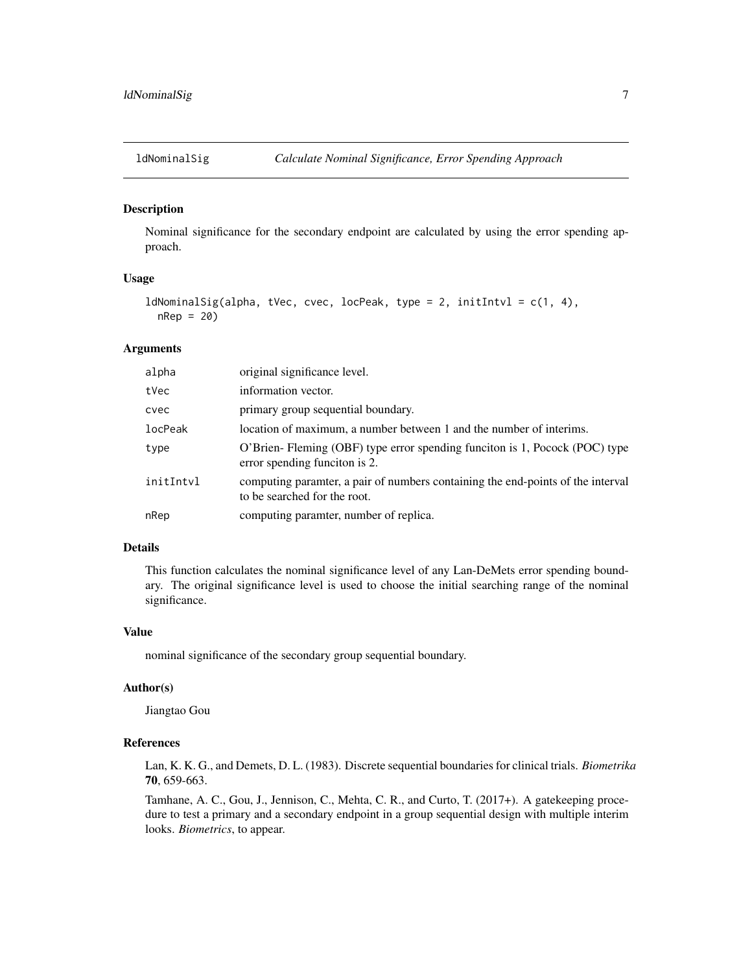<span id="page-6-0"></span>

# Description

Nominal significance for the secondary endpoint are calculated by using the error spending approach.

#### Usage

```
ldNominalSig(alpha, tVec, cvec, locPeak, type = 2, initIntvl = c(1, 4),
  nRep = 20)
```
# Arguments

| alpha     | original significance level.                                                                                     |
|-----------|------------------------------------------------------------------------------------------------------------------|
| tVec      | information vector.                                                                                              |
| cvec      | primary group sequential boundary.                                                                               |
| locPeak   | location of maximum, a number between 1 and the number of interims.                                              |
| type      | O'Brien-Fleming (OBF) type error spending funciton is 1, Pocock (POC) type<br>error spending funciton is 2.      |
| initIntvl | computing parametric a pair of numbers containing the end-points of the interval<br>to be searched for the root. |
| nRep      | computing paramter, number of replica.                                                                           |
|           |                                                                                                                  |

# Details

This function calculates the nominal significance level of any Lan-DeMets error spending boundary. The original significance level is used to choose the initial searching range of the nominal significance.

#### Value

nominal significance of the secondary group sequential boundary.

# Author(s)

Jiangtao Gou

# References

Lan, K. K. G., and Demets, D. L. (1983). Discrete sequential boundaries for clinical trials. *Biometrika* 70, 659-663.

Tamhane, A. C., Gou, J., Jennison, C., Mehta, C. R., and Curto, T. (2017+). A gatekeeping procedure to test a primary and a secondary endpoint in a group sequential design with multiple interim looks. *Biometrics*, to appear.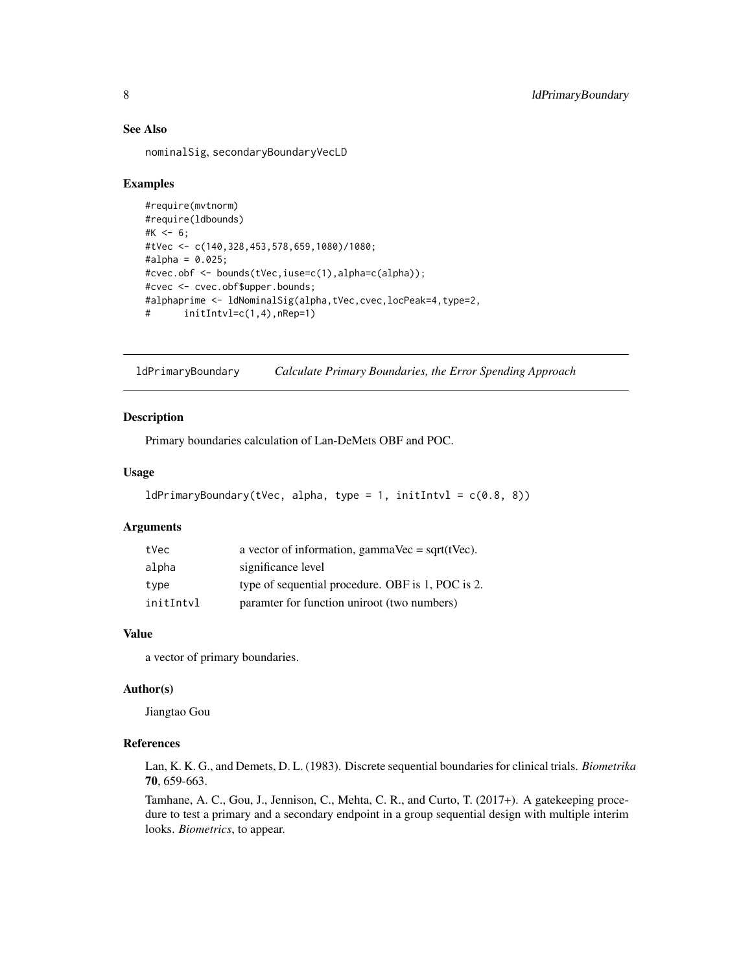# See Also

nominalSig, secondaryBoundaryVecLD

# Examples

```
#require(mvtnorm)
#require(ldbounds)
#K <- 6;
#tVec <- c(140,328,453,578,659,1080)/1080;
#alpha = 0.025;
#cvec.obf <- bounds(tVec,iuse=c(1),alpha=c(alpha));
#cvec <- cvec.obf$upper.bounds;
#alphaprime <- ldNominalSig(alpha,tVec,cvec,locPeak=4,type=2,
# initIntvl=c(1,4),nRep=1)
```
ldPrimaryBoundary *Calculate Primary Boundaries, the Error Spending Approach*

#### Description

Primary boundaries calculation of Lan-DeMets OBF and POC.

# Usage

```
ldPrimaryBoundary(tVec, alpha, type = 1, initIntvl = c(0.8, 8))
```
# Arguments

| tVec      | a vector of information, gammaVec = $sqrt(tVec)$ . |
|-----------|----------------------------------------------------|
| alpha     | significance level                                 |
| type      | type of sequential procedure. OBF is 1, POC is 2.  |
| initIntvl | paramter for function uniroot (two numbers)        |

# Value

a vector of primary boundaries.

# Author(s)

Jiangtao Gou

# References

Lan, K. K. G., and Demets, D. L. (1983). Discrete sequential boundaries for clinical trials. *Biometrika* 70, 659-663.

Tamhane, A. C., Gou, J., Jennison, C., Mehta, C. R., and Curto, T. (2017+). A gatekeeping procedure to test a primary and a secondary endpoint in a group sequential design with multiple interim looks. *Biometrics*, to appear.

<span id="page-7-0"></span>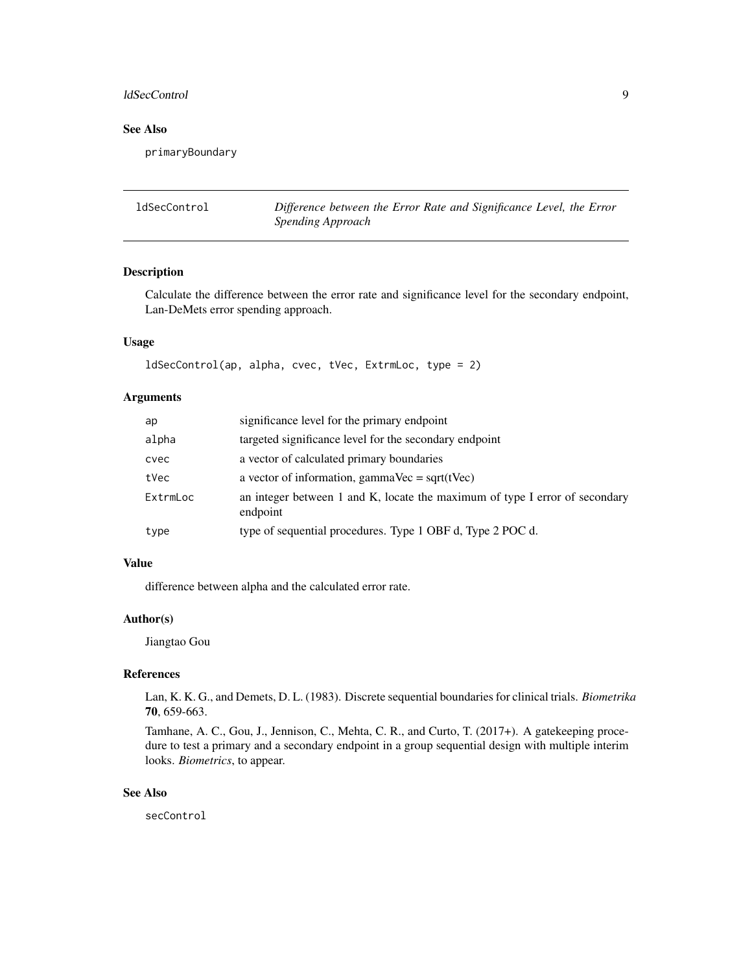#### <span id="page-8-0"></span>ldSecControl 9

# See Also

primaryBoundary

ldSecControl *Difference between the Error Rate and Significance Level, the Error Spending Approach*

# Description

Calculate the difference between the error rate and significance level for the secondary endpoint, Lan-DeMets error spending approach.

# Usage

```
ldSecControl(ap, alpha, cvec, tVec, ExtrmLoc, type = 2)
```
# Arguments

| ap       | significance level for the primary endpoint                                             |
|----------|-----------------------------------------------------------------------------------------|
| alpha    | targeted significance level for the secondary endpoint                                  |
| cvec     | a vector of calculated primary boundaries                                               |
| tVec     | a vector of information, gammaVec = $sqrt(tVec)$                                        |
| ExtrmLoc | an integer between 1 and K, locate the maximum of type I error of secondary<br>endpoint |
| type     | type of sequential procedures. Type 1 OBF d, Type 2 POC d.                              |

# Value

difference between alpha and the calculated error rate.

# Author(s)

Jiangtao Gou

# References

Lan, K. K. G., and Demets, D. L. (1983). Discrete sequential boundaries for clinical trials. *Biometrika* 70, 659-663.

Tamhane, A. C., Gou, J., Jennison, C., Mehta, C. R., and Curto, T. (2017+). A gatekeeping procedure to test a primary and a secondary endpoint in a group sequential design with multiple interim looks. *Biometrics*, to appear.

# See Also

secControl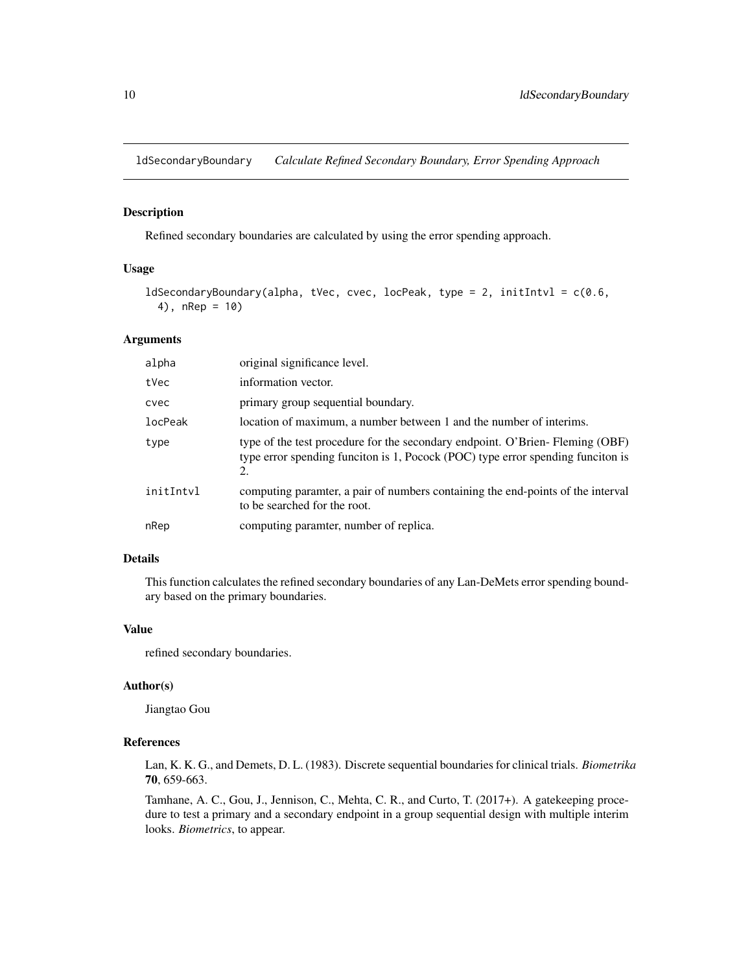<span id="page-9-0"></span>ldSecondaryBoundary *Calculate Refined Secondary Boundary, Error Spending Approach*

#### Description

Refined secondary boundaries are calculated by using the error spending approach.

# Usage

```
ldSecondaryBoundary(alpha, tVec, cvec, locPeak, type = 2, initIntvl = c(0.6,4), nRep = 10)
```
# Arguments

| alpha     | original significance level.                                                                                                                                          |
|-----------|-----------------------------------------------------------------------------------------------------------------------------------------------------------------------|
| tVec      | information vector.                                                                                                                                                   |
| cvec      | primary group sequential boundary.                                                                                                                                    |
| locPeak   | location of maximum, a number between 1 and the number of interims.                                                                                                   |
| type      | type of the test procedure for the secondary endpoint. O'Brien-Fleming (OBF)<br>type error spending funciton is 1, Pocock (POC) type error spending funciton is<br>2. |
| initIntyl | computing parametric a pair of numbers containing the end-points of the interval<br>to be searched for the root.                                                      |
| nRep      | computing paramter, number of replica.                                                                                                                                |
|           |                                                                                                                                                                       |

# Details

This function calculates the refined secondary boundaries of any Lan-DeMets error spending boundary based on the primary boundaries.

# Value

refined secondary boundaries.

# Author(s)

Jiangtao Gou

#### References

Lan, K. K. G., and Demets, D. L. (1983). Discrete sequential boundaries for clinical trials. *Biometrika* 70, 659-663.

Tamhane, A. C., Gou, J., Jennison, C., Mehta, C. R., and Curto, T. (2017+). A gatekeeping procedure to test a primary and a secondary endpoint in a group sequential design with multiple interim looks. *Biometrics*, to appear.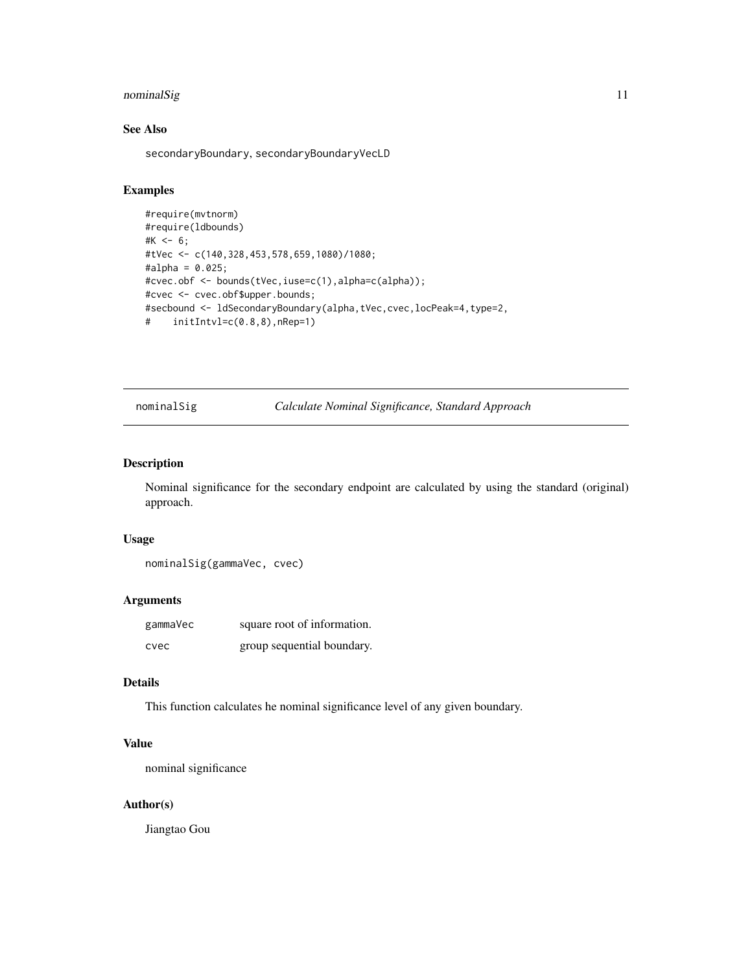# <span id="page-10-0"></span>nominalSig 11

# See Also

secondaryBoundary, secondaryBoundaryVecLD

# Examples

```
#require(mvtnorm)
#require(ldbounds)
#K < -6;
#tVec <- c(140,328,453,578,659,1080)/1080;
#alpha = 0.025;
#cvec.obf <- bounds(tVec,iuse=c(1),alpha=c(alpha));
#cvec <- cvec.obf$upper.bounds;
#secbound <- ldSecondaryBoundary(alpha,tVec,cvec,locPeak=4,type=2,
# initIntvl=c(0.8,8),nRep=1)
```
nominalSig *Calculate Nominal Significance, Standard Approach*

# Description

Nominal significance for the secondary endpoint are calculated by using the standard (original) approach.

#### Usage

```
nominalSig(gammaVec, cvec)
```
# Arguments

| gammaVec | square root of information. |
|----------|-----------------------------|
| cvec     | group sequential boundary.  |

# Details

This function calculates he nominal significance level of any given boundary.

# Value

nominal significance

# Author(s)

Jiangtao Gou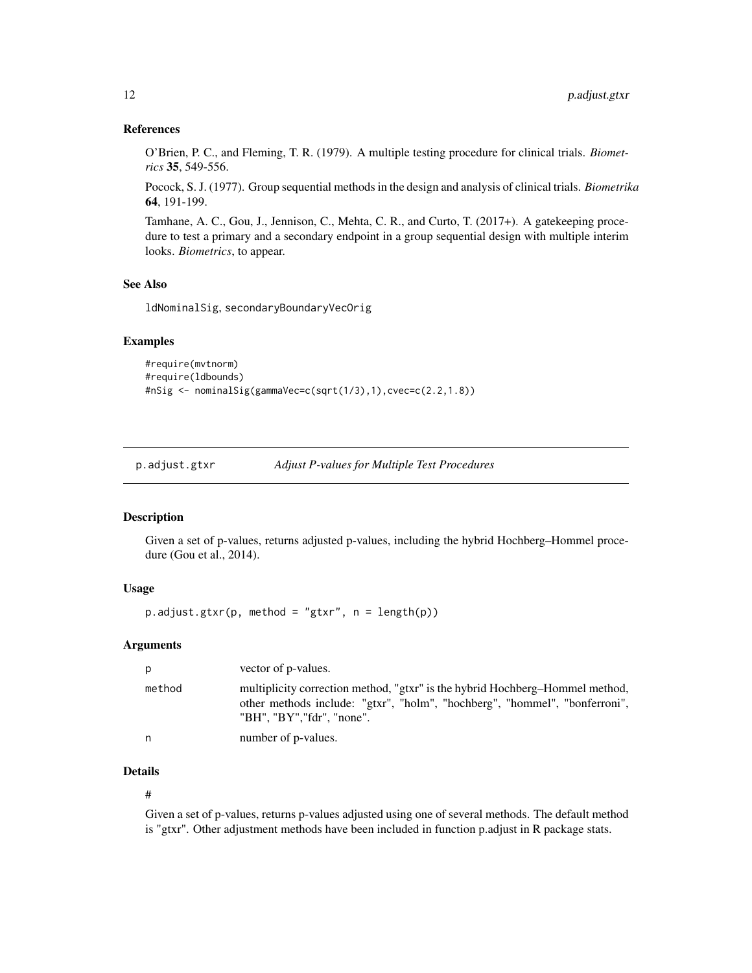# <span id="page-11-0"></span>References

O'Brien, P. C., and Fleming, T. R. (1979). A multiple testing procedure for clinical trials. *Biometrics* 35, 549-556.

Pocock, S. J. (1977). Group sequential methods in the design and analysis of clinical trials. *Biometrika* 64, 191-199.

Tamhane, A. C., Gou, J., Jennison, C., Mehta, C. R., and Curto, T. (2017+). A gatekeeping procedure to test a primary and a secondary endpoint in a group sequential design with multiple interim looks. *Biometrics*, to appear.

#### See Also

ldNominalSig, secondaryBoundaryVecOrig

# Examples

```
#require(mvtnorm)
#require(ldbounds)
#nSig <- nominalSig(gammaVec=c(sqrt(1/3),1),cvec=c(2.2,1.8))
```
p.adjust.gtxr *Adjust P-values for Multiple Test Procedures*

#### Description

Given a set of p-values, returns adjusted p-values, including the hybrid Hochberg–Hommel procedure (Gou et al., 2014).

# Usage

 $p.addjust.getxr(p, method = "gtxr", n = length(p))$ 

# Arguments

| p      | vector of p-values.                                                                                                                                                                     |
|--------|-----------------------------------------------------------------------------------------------------------------------------------------------------------------------------------------|
| method | multiplicity correction method, "gtxr" is the hybrid Hochberg-Hommel method,<br>other methods include: "gtxr", "holm", "hochberg", "hommel", "bonferroni",<br>"BH". "BY"."fdr". "none". |
| n.     | number of p-values.                                                                                                                                                                     |

# Details

#

Given a set of p-values, returns p-values adjusted using one of several methods. The default method is "gtxr". Other adjustment methods have been included in function p.adjust in R package stats.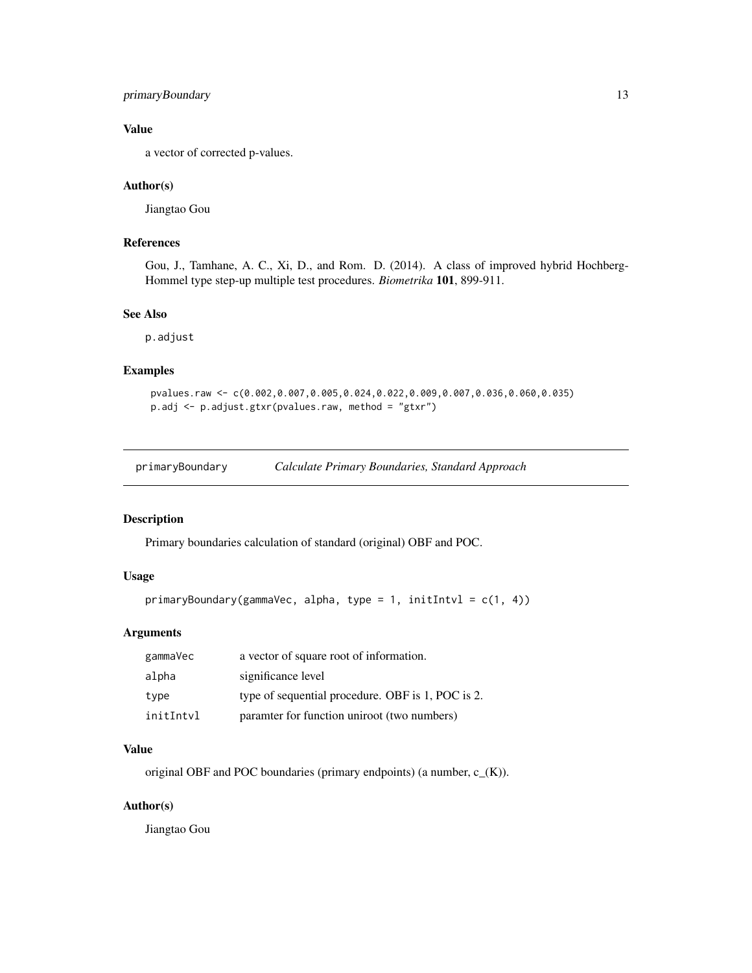# <span id="page-12-0"></span>primaryBoundary 13

# Value

a vector of corrected p-values.

# Author(s)

Jiangtao Gou

# References

Gou, J., Tamhane, A. C., Xi, D., and Rom. D. (2014). A class of improved hybrid Hochberg-Hommel type step-up multiple test procedures. *Biometrika* 101, 899-911.

#### See Also

p.adjust

# Examples

```
pvalues.raw <- c(0.002,0.007,0.005,0.024,0.022,0.009,0.007,0.036,0.060,0.035)
p.adj <- p.adjust.gtxr(pvalues.raw, method = "gtxr")
```
primaryBoundary *Calculate Primary Boundaries, Standard Approach*

# Description

Primary boundaries calculation of standard (original) OBF and POC.

#### Usage

```
primaryBoundary(gammaVec, alpha, type = 1, initIntvl = c(1, 4))
```
# Arguments

| gammaVec  | a vector of square root of information.           |
|-----------|---------------------------------------------------|
| alpha     | significance level                                |
| type      | type of sequential procedure. OBF is 1, POC is 2. |
| initIntvl | paramter for function uniroot (two numbers)       |

# Value

original OBF and POC boundaries (primary endpoints) (a number,  $c_{(K)}$ ).

# Author(s)

Jiangtao Gou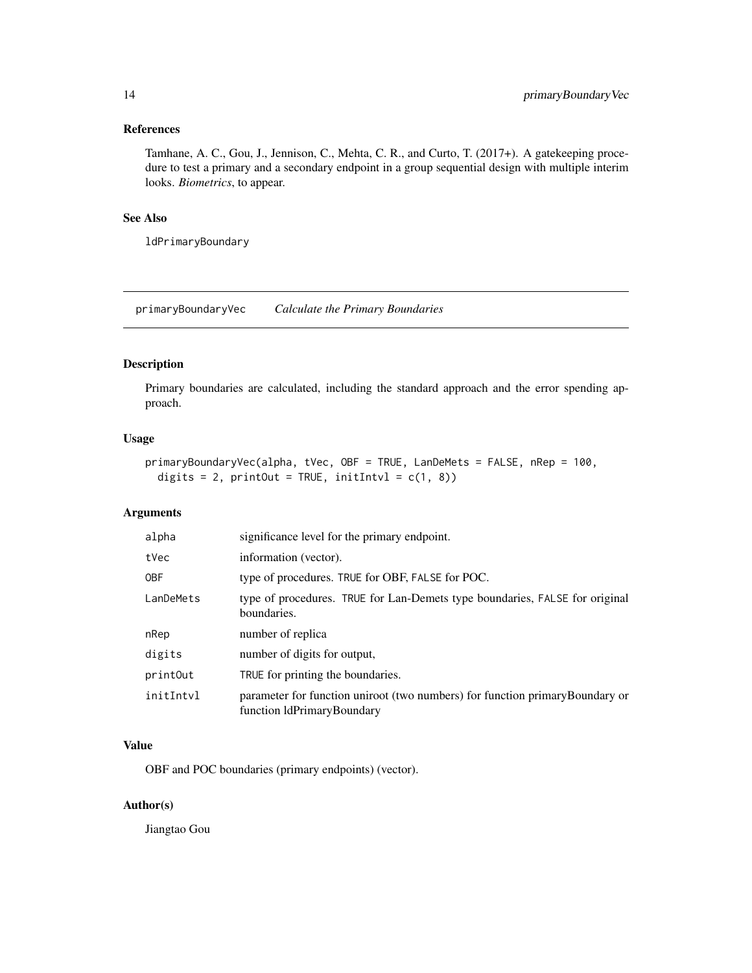# <span id="page-13-0"></span>References

Tamhane, A. C., Gou, J., Jennison, C., Mehta, C. R., and Curto, T. (2017+). A gatekeeping procedure to test a primary and a secondary endpoint in a group sequential design with multiple interim looks. *Biometrics*, to appear.

# See Also

ldPrimaryBoundary

primaryBoundaryVec *Calculate the Primary Boundaries*

# Description

Primary boundaries are calculated, including the standard approach and the error spending approach.

# Usage

```
primaryBoundaryVec(alpha, tVec, OBF = TRUE, LanDeMets = FALSE, nRep = 100,
 digits = 2, printOut = TRUE, initIntvl = c(1, 8))
```
# Arguments

| alpha      | significance level for the primary endpoint.                                                               |
|------------|------------------------------------------------------------------------------------------------------------|
| tVec       | information (vector).                                                                                      |
| <b>OBF</b> | type of procedures. TRUE for OBF, FALSE for POC.                                                           |
| LanDeMets  | type of procedures. TRUE for Lan-Demets type boundaries, FALSE for original<br>boundaries.                 |
| nRep       | number of replica                                                                                          |
| digits     | number of digits for output,                                                                               |
| printOut   | TRUE for printing the boundaries.                                                                          |
| initIntvl  | parameter for function uniroot (two numbers) for function primaryBoundary or<br>function IdPrimaryBoundary |

#### Value

OBF and POC boundaries (primary endpoints) (vector).

# Author(s)

Jiangtao Gou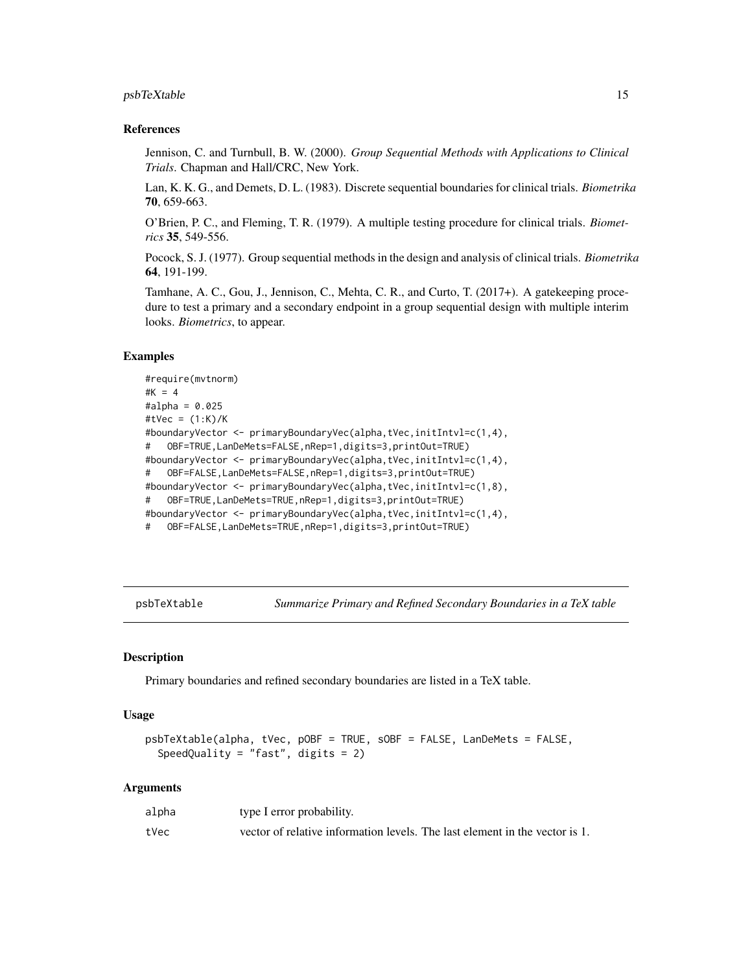#### <span id="page-14-0"></span>psbTeXtable 15

### References

Jennison, C. and Turnbull, B. W. (2000). *Group Sequential Methods with Applications to Clinical Trials*. Chapman and Hall/CRC, New York.

Lan, K. K. G., and Demets, D. L. (1983). Discrete sequential boundaries for clinical trials. *Biometrika* 70, 659-663.

O'Brien, P. C., and Fleming, T. R. (1979). A multiple testing procedure for clinical trials. *Biometrics* 35, 549-556.

Pocock, S. J. (1977). Group sequential methods in the design and analysis of clinical trials. *Biometrika* 64, 191-199.

Tamhane, A. C., Gou, J., Jennison, C., Mehta, C. R., and Curto, T. (2017+). A gatekeeping procedure to test a primary and a secondary endpoint in a group sequential design with multiple interim looks. *Biometrics*, to appear.

# Examples

```
#require(mvtnorm)
#K = 4
#alpha = 0.025
#tVec = (1:K)/K
#boundaryVector <- primaryBoundaryVec(alpha,tVec,initIntvl=c(1,4),
# OBF=TRUE,LanDeMets=FALSE,nRep=1,digits=3,printOut=TRUE)
#boundaryVector <- primaryBoundaryVec(alpha,tVec,initIntvl=c(1,4),
# OBF=FALSE,LanDeMets=FALSE,nRep=1,digits=3,printOut=TRUE)
#boundaryVector <- primaryBoundaryVec(alpha,tVec,initIntvl=c(1,8),
# OBF=TRUE,LanDeMets=TRUE,nRep=1,digits=3,printOut=TRUE)
#boundaryVector <- primaryBoundaryVec(alpha,tVec,initIntvl=c(1,4),
# OBF=FALSE,LanDeMets=TRUE,nRep=1,digits=3,printOut=TRUE)
```
psbTeXtable *Summarize Primary and Refined Secondary Boundaries in a TeX table*

### **Description**

Primary boundaries and refined secondary boundaries are listed in a TeX table.

#### Usage

```
psbTeXtable(alpha, tVec, pOBF = TRUE, sOBF = FALSE, LanDeMets = FALSE,
  SpeedQuality = "fast", digits = 2)
```
#### Arguments

| alpha | type I error probability.                                                   |
|-------|-----------------------------------------------------------------------------|
| tVec  | vector of relative information levels. The last element in the vector is 1. |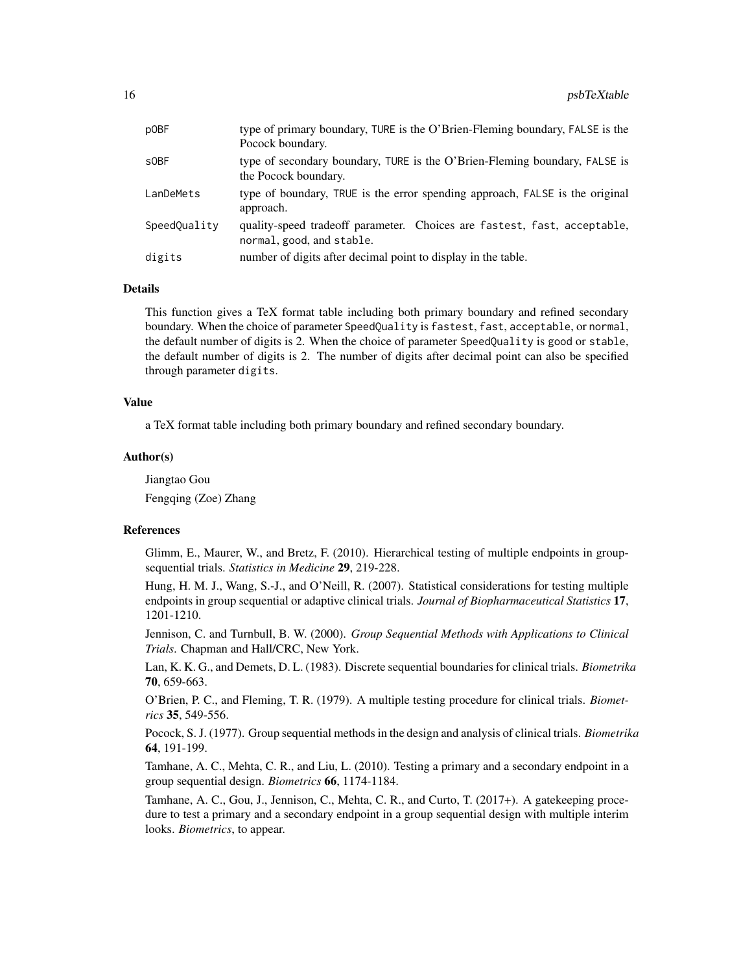| p0BF             | type of primary boundary, TURE is the O'Brien-Fleming boundary, FALSE is the<br>Pocock boundary.      |
|------------------|-------------------------------------------------------------------------------------------------------|
| s <sub>OBF</sub> | type of secondary boundary, TURE is the O'Brien-Fleming boundary, FALSE is<br>the Pocock boundary.    |
| LanDeMets        | type of boundary, TRUE is the error spending approach, FALSE is the original<br>approach.             |
| SpeedQuality     | quality-speed tradeoff parameter. Choices are fastest, fast, acceptable,<br>normal, good, and stable. |
| digits           | number of digits after decimal point to display in the table.                                         |

#### Details

This function gives a TeX format table including both primary boundary and refined secondary boundary. When the choice of parameter SpeedQuality is fastest, fast, acceptable, or normal, the default number of digits is 2. When the choice of parameter SpeedQuality is good or stable, the default number of digits is 2. The number of digits after decimal point can also be specified through parameter digits.

#### Value

a TeX format table including both primary boundary and refined secondary boundary.

#### Author(s)

Jiangtao Gou

Fengqing (Zoe) Zhang

#### References

Glimm, E., Maurer, W., and Bretz, F. (2010). Hierarchical testing of multiple endpoints in groupsequential trials. *Statistics in Medicine* 29, 219-228.

Hung, H. M. J., Wang, S.-J., and O'Neill, R. (2007). Statistical considerations for testing multiple endpoints in group sequential or adaptive clinical trials. *Journal of Biopharmaceutical Statistics* 17, 1201-1210.

Jennison, C. and Turnbull, B. W. (2000). *Group Sequential Methods with Applications to Clinical Trials*. Chapman and Hall/CRC, New York.

Lan, K. K. G., and Demets, D. L. (1983). Discrete sequential boundaries for clinical trials. *Biometrika* 70, 659-663.

O'Brien, P. C., and Fleming, T. R. (1979). A multiple testing procedure for clinical trials. *Biometrics* 35, 549-556.

Pocock, S. J. (1977). Group sequential methods in the design and analysis of clinical trials. *Biometrika* 64, 191-199.

Tamhane, A. C., Mehta, C. R., and Liu, L. (2010). Testing a primary and a secondary endpoint in a group sequential design. *Biometrics* 66, 1174-1184.

Tamhane, A. C., Gou, J., Jennison, C., Mehta, C. R., and Curto, T. (2017+). A gatekeeping procedure to test a primary and a secondary endpoint in a group sequential design with multiple interim looks. *Biometrics*, to appear.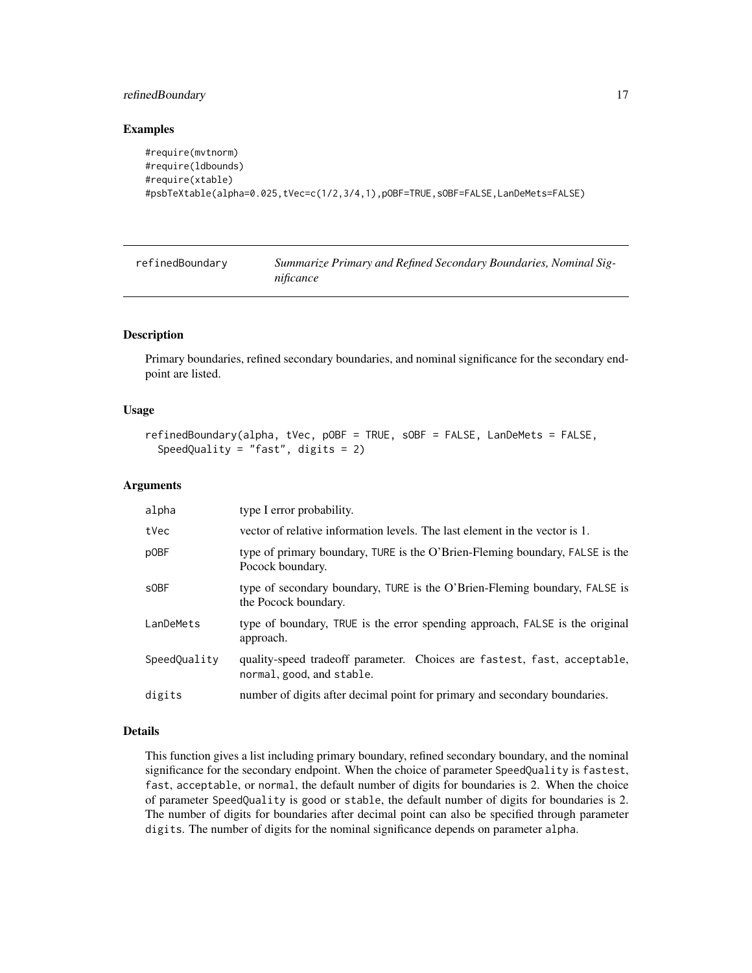# <span id="page-16-0"></span>refinedBoundary 17

#### Examples

```
#require(mvtnorm)
#require(ldbounds)
#require(xtable)
#psbTeXtable(alpha=0.025,tVec=c(1/2,3/4,1),pOBF=TRUE,sOBF=FALSE,LanDeMets=FALSE)
```
refinedBoundary *Summarize Primary and Refined Secondary Boundaries, Nominal Significance*

#### Description

Primary boundaries, refined secondary boundaries, and nominal significance for the secondary endpoint are listed.

#### Usage

```
refinedBoundary(alpha, tVec, pOBF = TRUE, sOBF = FALSE, LanDeMets = FALSE,
  SpeedQuality = "fast", digits = 2)
```
#### Arguments

| alpha        | type I error probability.                                                                             |
|--------------|-------------------------------------------------------------------------------------------------------|
| tVec         | vector of relative information levels. The last element in the vector is 1.                           |
| pOBF         | type of primary boundary, TURE is the O'Brien-Fleming boundary, FALSE is the<br>Pocock boundary.      |
| s0BF         | type of secondary boundary, TURE is the O'Brien-Fleming boundary, FALSE is<br>the Pocock boundary.    |
| LanDeMets    | type of boundary, TRUE is the error spending approach, FALSE is the original<br>approach.             |
| SpeedQuality | quality-speed tradeoff parameter. Choices are fastest, fast, acceptable,<br>normal, good, and stable. |
| digits       | number of digits after decimal point for primary and secondary boundaries.                            |

# Details

This function gives a list including primary boundary, refined secondary boundary, and the nominal significance for the secondary endpoint. When the choice of parameter SpeedQuality is fastest, fast, acceptable, or normal, the default number of digits for boundaries is 2. When the choice of parameter SpeedQuality is good or stable, the default number of digits for boundaries is 2. The number of digits for boundaries after decimal point can also be specified through parameter digits. The number of digits for the nominal significance depends on parameter alpha.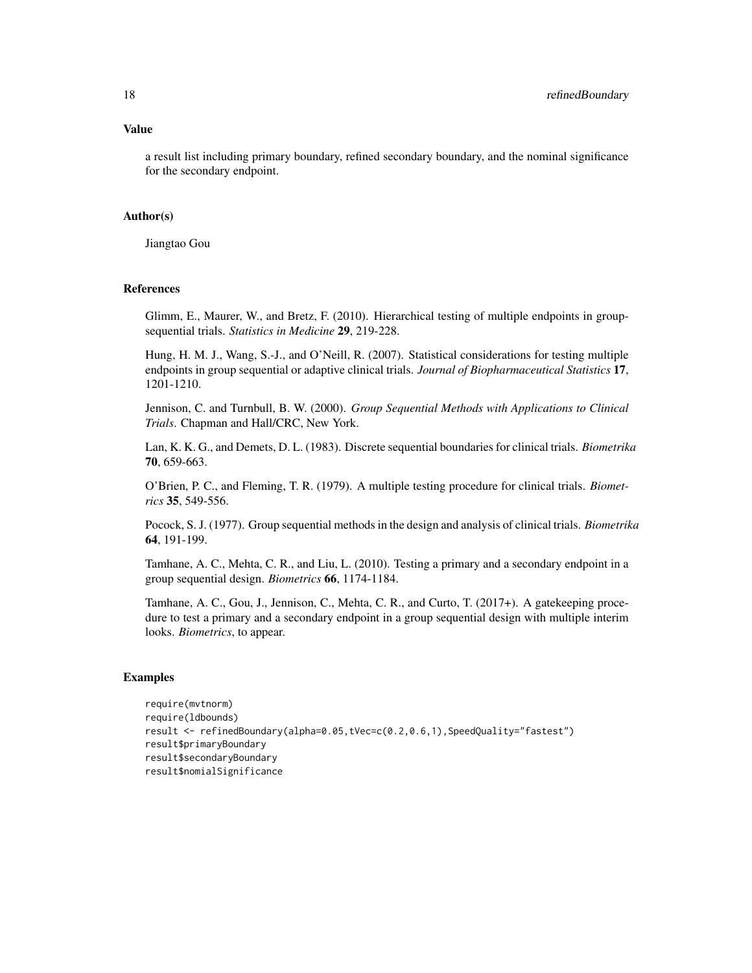# Value

a result list including primary boundary, refined secondary boundary, and the nominal significance for the secondary endpoint.

# Author(s)

Jiangtao Gou

#### References

Glimm, E., Maurer, W., and Bretz, F. (2010). Hierarchical testing of multiple endpoints in groupsequential trials. *Statistics in Medicine* 29, 219-228.

Hung, H. M. J., Wang, S.-J., and O'Neill, R. (2007). Statistical considerations for testing multiple endpoints in group sequential or adaptive clinical trials. *Journal of Biopharmaceutical Statistics* 17, 1201-1210.

Jennison, C. and Turnbull, B. W. (2000). *Group Sequential Methods with Applications to Clinical Trials*. Chapman and Hall/CRC, New York.

Lan, K. K. G., and Demets, D. L. (1983). Discrete sequential boundaries for clinical trials. *Biometrika* 70, 659-663.

O'Brien, P. C., and Fleming, T. R. (1979). A multiple testing procedure for clinical trials. *Biometrics* 35, 549-556.

Pocock, S. J. (1977). Group sequential methods in the design and analysis of clinical trials. *Biometrika* 64, 191-199.

Tamhane, A. C., Mehta, C. R., and Liu, L. (2010). Testing a primary and a secondary endpoint in a group sequential design. *Biometrics* 66, 1174-1184.

Tamhane, A. C., Gou, J., Jennison, C., Mehta, C. R., and Curto, T. (2017+). A gatekeeping procedure to test a primary and a secondary endpoint in a group sequential design with multiple interim looks. *Biometrics*, to appear.

# Examples

```
require(mvtnorm)
require(ldbounds)
result <- refinedBoundary(alpha=0.05,tVec=c(0.2,0.6,1),SpeedQuality="fastest")
result$primaryBoundary
result$secondaryBoundary
result$nomialSignificance
```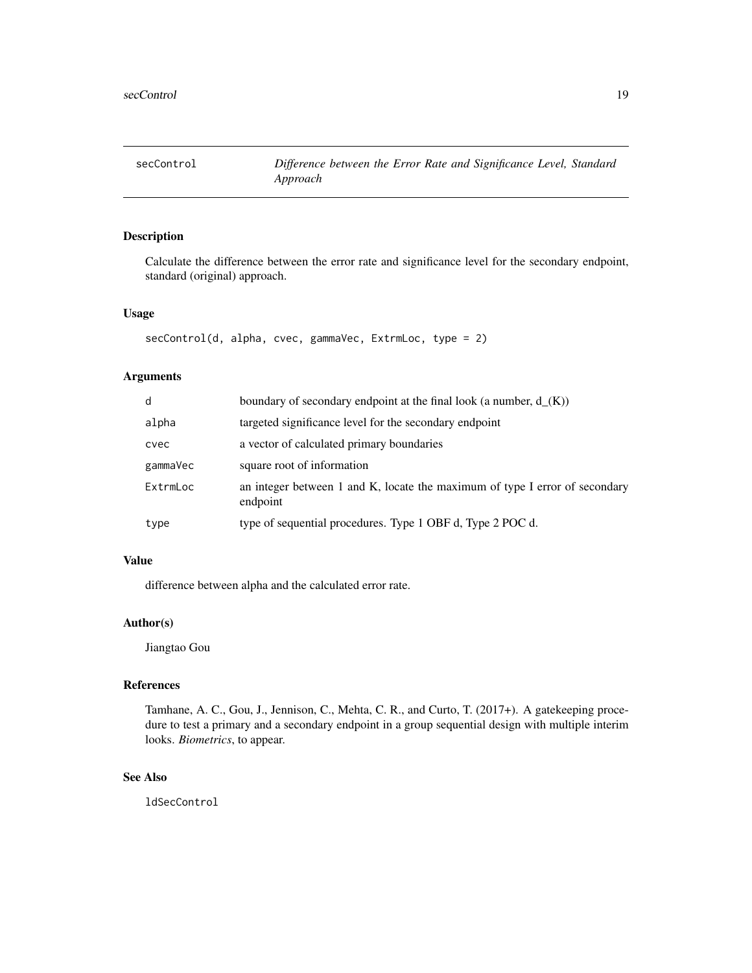<span id="page-18-0"></span>

# Description

Calculate the difference between the error rate and significance level for the secondary endpoint, standard (original) approach.

#### Usage

```
secControl(d, alpha, cvec, gammaVec, ExtrmLoc, type = 2)
```
# Arguments

| d        | boundary of secondary endpoint at the final look (a number, $d_{(K)}$ )                 |
|----------|-----------------------------------------------------------------------------------------|
| alpha    | targeted significance level for the secondary endpoint                                  |
| cvec     | a vector of calculated primary boundaries                                               |
| gammaVec | square root of information                                                              |
| ExtrmLoc | an integer between 1 and K, locate the maximum of type I error of secondary<br>endpoint |
| type     | type of sequential procedures. Type 1 OBF d, Type 2 POC d.                              |

# Value

difference between alpha and the calculated error rate.

# Author(s)

Jiangtao Gou

# References

Tamhane, A. C., Gou, J., Jennison, C., Mehta, C. R., and Curto, T. (2017+). A gatekeeping procedure to test a primary and a secondary endpoint in a group sequential design with multiple interim looks. *Biometrics*, to appear.

# See Also

ldSecControl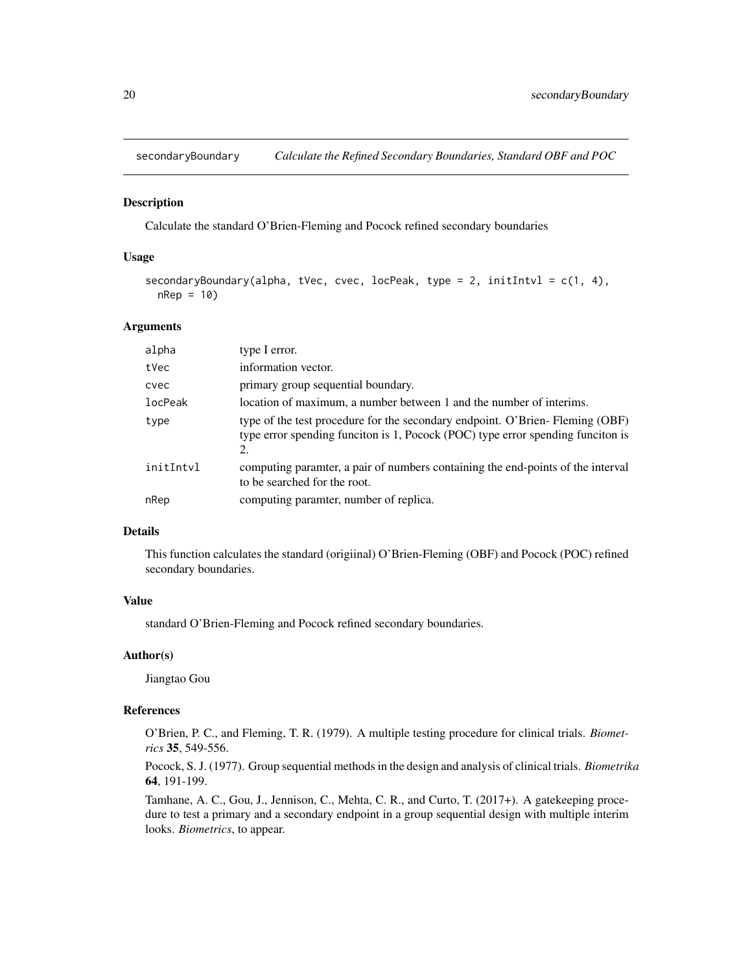<span id="page-19-0"></span>

# Description

Calculate the standard O'Brien-Fleming and Pocock refined secondary boundaries

# Usage

```
secondaryBoundary(alpha, tVec, cvec, locPeak, type = 2, initIntvl = c(1, 4),
  nRep = 10)
```
#### Arguments

| alpha     | type I error.                                                                                                                                                         |
|-----------|-----------------------------------------------------------------------------------------------------------------------------------------------------------------------|
| tVec      | information vector.                                                                                                                                                   |
| cvec      | primary group sequential boundary.                                                                                                                                    |
| locPeak   | location of maximum, a number between 1 and the number of interims.                                                                                                   |
| type      | type of the test procedure for the secondary endpoint. O'Brien-Fleming (OBF)<br>type error spending funciton is 1, Pocock (POC) type error spending funciton is<br>2. |
| initIntvl | computing paramter, a pair of numbers containing the end-points of the interval<br>to be searched for the root.                                                       |
| nRep      | computing paramter, number of replica.                                                                                                                                |

#### Details

This function calculates the standard (origiinal) O'Brien-Fleming (OBF) and Pocock (POC) refined secondary boundaries.

# Value

standard O'Brien-Fleming and Pocock refined secondary boundaries.

# Author(s)

Jiangtao Gou

# References

O'Brien, P. C., and Fleming, T. R. (1979). A multiple testing procedure for clinical trials. *Biometrics* 35, 549-556.

Pocock, S. J. (1977). Group sequential methods in the design and analysis of clinical trials. *Biometrika* 64, 191-199.

Tamhane, A. C., Gou, J., Jennison, C., Mehta, C. R., and Curto, T. (2017+). A gatekeeping procedure to test a primary and a secondary endpoint in a group sequential design with multiple interim looks. *Biometrics*, to appear.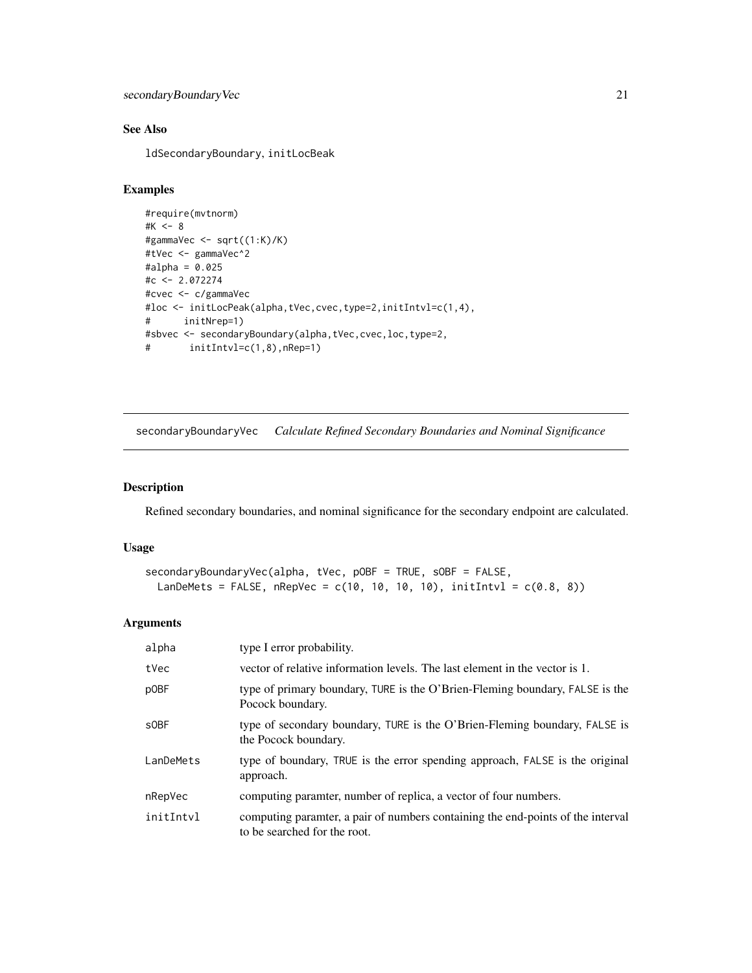```
secondaryBoundaryVec 21
```
# See Also

ldSecondaryBoundary, initLocBeak

# Examples

```
#require(mvtnorm)
#K <- 8
#gammaVec <- sqrt((1:K)/K)
#tVec <- gammaVec^2
#alpha = 0.025
#c <- 2.072274
#cvec <- c/gammaVec
#loc <- initLocPeak(alpha,tVec,cvec,type=2,initIntvl=c(1,4),
# initNrep=1)
#sbvec <- secondaryBoundary(alpha,tVec,cvec,loc,type=2,
# initIntvl=c(1,8),nRep=1)
```
secondaryBoundaryVec *Calculate Refined Secondary Boundaries and Nominal Significance*

# Description

Refined secondary boundaries, and nominal significance for the secondary endpoint are calculated.

# Usage

```
secondaryBoundaryVec(alpha, tVec, pOBF = TRUE, sOBF = FALSE,
 LanDeMets = FALSE, nRepVec = c(10, 10, 10, 10), initIntvl = c(0.8, 8))
```
# Arguments

| alpha            | type I error probability.                                                                                       |
|------------------|-----------------------------------------------------------------------------------------------------------------|
| tVec             | vector of relative information levels. The last element in the vector is 1.                                     |
| pOBF             | type of primary boundary, TURE is the O'Brien-Fleming boundary, FALSE is the<br>Pocock boundary.                |
| s <sub>OBF</sub> | type of secondary boundary, TURE is the O'Brien-Fleming boundary, FALSE is<br>the Pocock boundary.              |
| LanDeMets        | type of boundary, TRUE is the error spending approach, FALSE is the original<br>approach.                       |
| nRepVec          | computing paramter, number of replica, a vector of four numbers.                                                |
| initIntvl        | computing paramter, a pair of numbers containing the end-points of the interval<br>to be searched for the root. |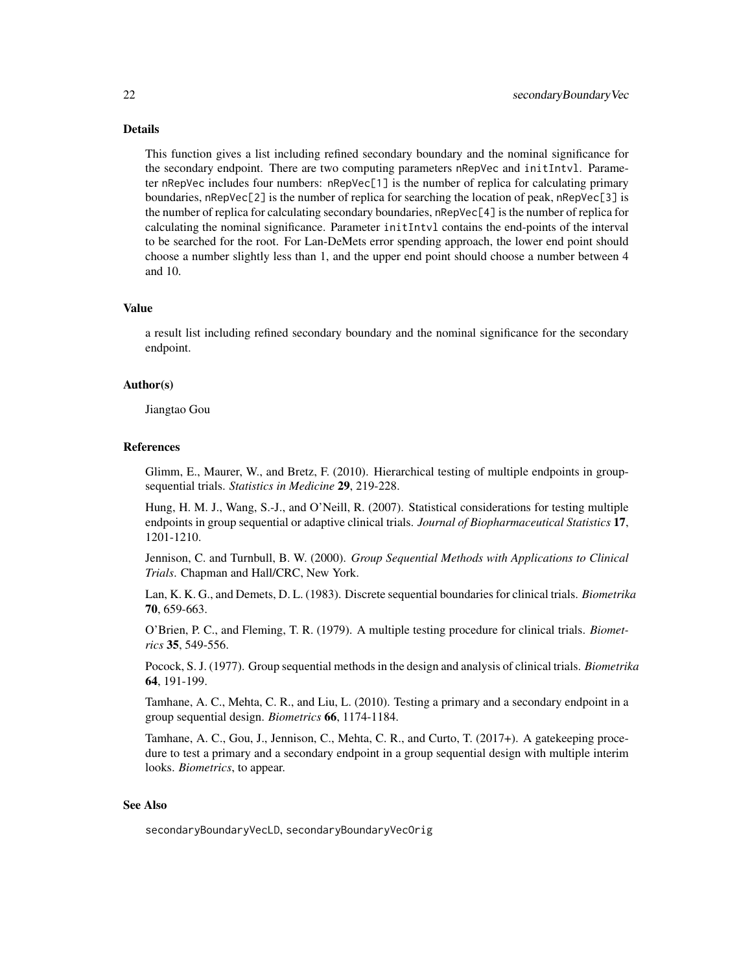# Details

This function gives a list including refined secondary boundary and the nominal significance for the secondary endpoint. There are two computing parameters nRepVec and initIntvl. Parameter nRepVec includes four numbers: nRepVec[1] is the number of replica for calculating primary boundaries, nRepVec[2] is the number of replica for searching the location of peak, nRepVec[3] is the number of replica for calculating secondary boundaries, nRepVec[4] is the number of replica for calculating the nominal significance. Parameter initIntvl contains the end-points of the interval to be searched for the root. For Lan-DeMets error spending approach, the lower end point should choose a number slightly less than 1, and the upper end point should choose a number between 4 and 10.

#### Value

a result list including refined secondary boundary and the nominal significance for the secondary endpoint.

#### Author(s)

Jiangtao Gou

#### References

Glimm, E., Maurer, W., and Bretz, F. (2010). Hierarchical testing of multiple endpoints in groupsequential trials. *Statistics in Medicine* 29, 219-228.

Hung, H. M. J., Wang, S.-J., and O'Neill, R. (2007). Statistical considerations for testing multiple endpoints in group sequential or adaptive clinical trials. *Journal of Biopharmaceutical Statistics* 17, 1201-1210.

Jennison, C. and Turnbull, B. W. (2000). *Group Sequential Methods with Applications to Clinical Trials*. Chapman and Hall/CRC, New York.

Lan, K. K. G., and Demets, D. L. (1983). Discrete sequential boundaries for clinical trials. *Biometrika* 70, 659-663.

O'Brien, P. C., and Fleming, T. R. (1979). A multiple testing procedure for clinical trials. *Biometrics* 35, 549-556.

Pocock, S. J. (1977). Group sequential methods in the design and analysis of clinical trials. *Biometrika* 64, 191-199.

Tamhane, A. C., Mehta, C. R., and Liu, L. (2010). Testing a primary and a secondary endpoint in a group sequential design. *Biometrics* 66, 1174-1184.

Tamhane, A. C., Gou, J., Jennison, C., Mehta, C. R., and Curto, T. (2017+). A gatekeeping procedure to test a primary and a secondary endpoint in a group sequential design with multiple interim looks. *Biometrics*, to appear.

# See Also

secondaryBoundaryVecLD, secondaryBoundaryVecOrig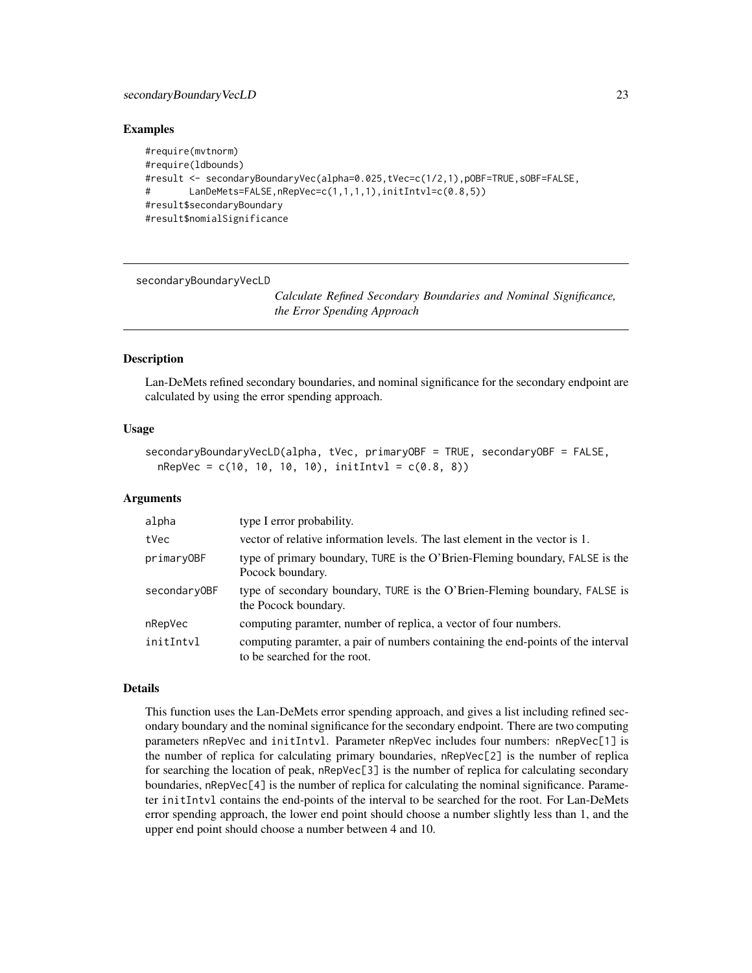#### <span id="page-22-0"></span>Examples

```
#require(mvtnorm)
#require(ldbounds)
#result <- secondaryBoundaryVec(alpha=0.025,tVec=c(1/2,1),pOBF=TRUE,sOBF=FALSE,
# LanDeMets=FALSE,nRepVec=c(1,1,1,1),initIntvl=c(0.8,5))
#result$secondaryBoundary
#result$nomialSignificance
```
secondaryBoundaryVecLD

*Calculate Refined Secondary Boundaries and Nominal Significance, the Error Spending Approach*

# Description

Lan-DeMets refined secondary boundaries, and nominal significance for the secondary endpoint are calculated by using the error spending approach.

# Usage

```
secondaryBoundaryVecLD(alpha, tVec, primaryOBF = TRUE, secondaryOBF = FALSE,
 nRepVec = c(10, 10, 10, 10), initIntvl = c(0.8, 8))
```
# Arguments

| alpha        | type I error probability.                                                                                       |
|--------------|-----------------------------------------------------------------------------------------------------------------|
| tVec         | vector of relative information levels. The last element in the vector is 1.                                     |
| primaryOBF   | type of primary boundary, TURE is the O'Brien-Fleming boundary, FALSE is the<br>Pocock boundary.                |
| secondaryOBF | type of secondary boundary, TURE is the O'Brien-Fleming boundary, FALSE is<br>the Pocock boundary.              |
| nRepVec      | computing paramter, number of replica, a vector of four numbers.                                                |
| initIntvl    | computing parametr, a pair of numbers containing the end-points of the interval<br>to be searched for the root. |

# Details

This function uses the Lan-DeMets error spending approach, and gives a list including refined secondary boundary and the nominal significance for the secondary endpoint. There are two computing parameters nRepVec and initIntvl. Parameter nRepVec includes four numbers: nRepVec[1] is the number of replica for calculating primary boundaries, nRepVec[2] is the number of replica for searching the location of peak, nRepVec[3] is the number of replica for calculating secondary boundaries, nRepVec[4] is the number of replica for calculating the nominal significance. Parameter initIntvl contains the end-points of the interval to be searched for the root. For Lan-DeMets error spending approach, the lower end point should choose a number slightly less than 1, and the upper end point should choose a number between 4 and 10.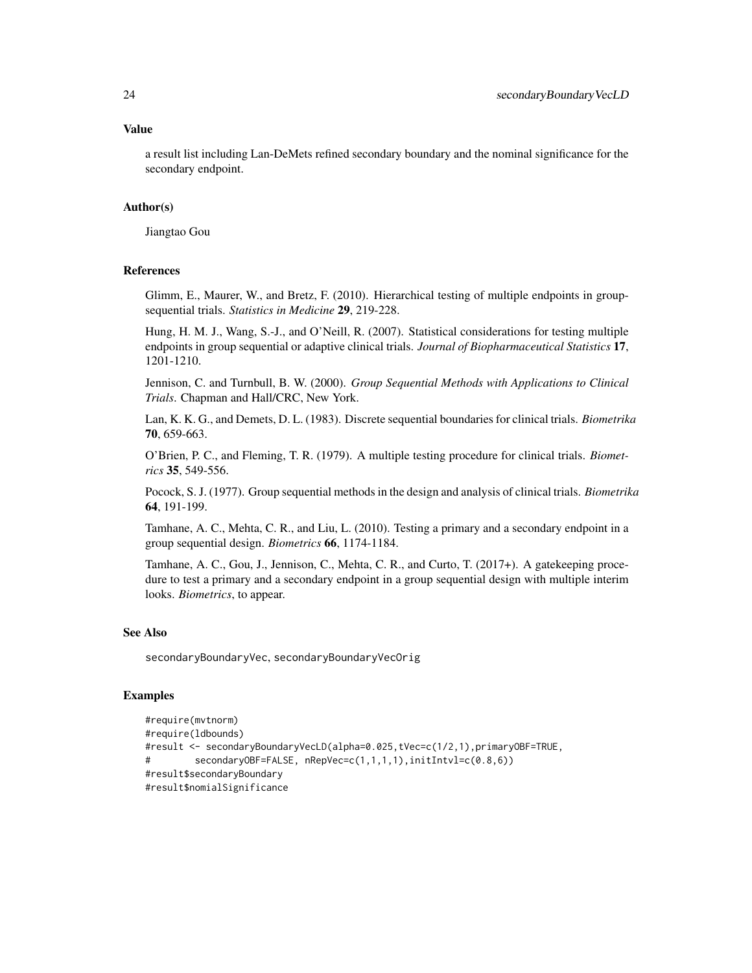#### Value

a result list including Lan-DeMets refined secondary boundary and the nominal significance for the secondary endpoint.

#### Author(s)

Jiangtao Gou

# References

Glimm, E., Maurer, W., and Bretz, F. (2010). Hierarchical testing of multiple endpoints in groupsequential trials. *Statistics in Medicine* 29, 219-228.

Hung, H. M. J., Wang, S.-J., and O'Neill, R. (2007). Statistical considerations for testing multiple endpoints in group sequential or adaptive clinical trials. *Journal of Biopharmaceutical Statistics* 17, 1201-1210.

Jennison, C. and Turnbull, B. W. (2000). *Group Sequential Methods with Applications to Clinical Trials*. Chapman and Hall/CRC, New York.

Lan, K. K. G., and Demets, D. L. (1983). Discrete sequential boundaries for clinical trials. *Biometrika* 70, 659-663.

O'Brien, P. C., and Fleming, T. R. (1979). A multiple testing procedure for clinical trials. *Biometrics* 35, 549-556.

Pocock, S. J. (1977). Group sequential methods in the design and analysis of clinical trials. *Biometrika* 64, 191-199.

Tamhane, A. C., Mehta, C. R., and Liu, L. (2010). Testing a primary and a secondary endpoint in a group sequential design. *Biometrics* 66, 1174-1184.

Tamhane, A. C., Gou, J., Jennison, C., Mehta, C. R., and Curto, T. (2017+). A gatekeeping procedure to test a primary and a secondary endpoint in a group sequential design with multiple interim looks. *Biometrics*, to appear.

# See Also

secondaryBoundaryVec, secondaryBoundaryVecOrig

# Examples

```
#require(mvtnorm)
#require(ldbounds)
#result <- secondaryBoundaryVecLD(alpha=0.025,tVec=c(1/2,1),primaryOBF=TRUE,
# secondaryOBF=FALSE, nRepVec=c(1,1,1,1),initIntvl=c(0.8,6))
#result$secondaryBoundary
#result$nomialSignificance
```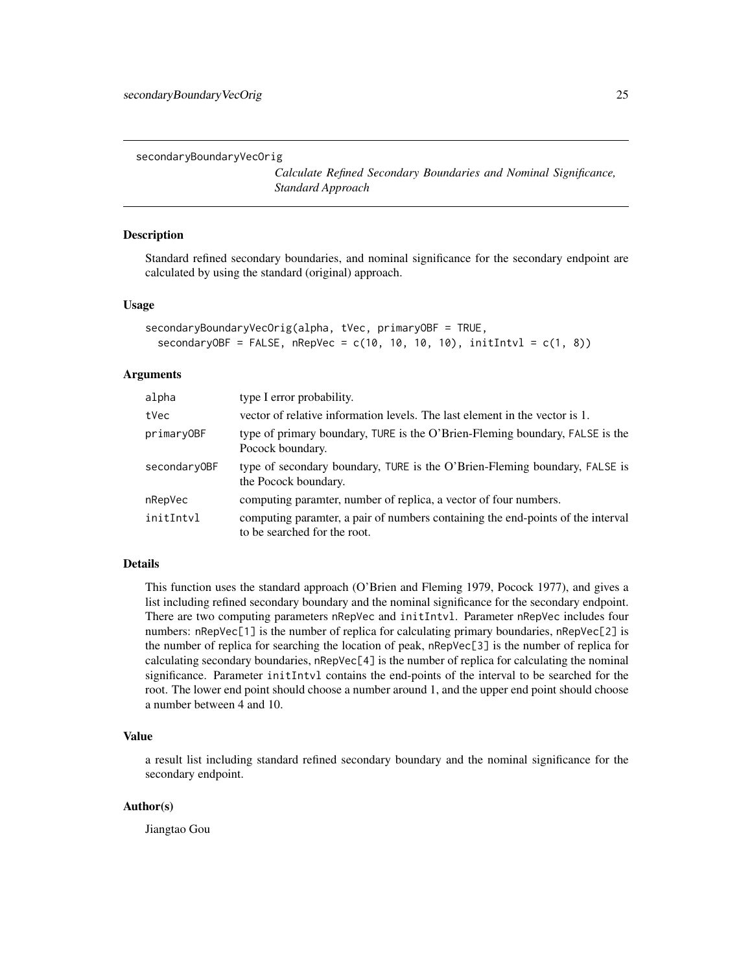<span id="page-24-0"></span>secondaryBoundaryVecOrig

*Calculate Refined Secondary Boundaries and Nominal Significance, Standard Approach*

# Description

Standard refined secondary boundaries, and nominal significance for the secondary endpoint are calculated by using the standard (original) approach.

# Usage

```
secondaryBoundaryVecOrig(alpha, tVec, primaryOBF = TRUE,
  secondaryOBF = FALSE, nRepVec = c(10, 10, 10, 10), initIntvl = c(1, 8))
```
#### Arguments

| alpha        | type I error probability.                                                                                       |
|--------------|-----------------------------------------------------------------------------------------------------------------|
| tVec         | vector of relative information levels. The last element in the vector is 1.                                     |
| primaryOBF   | type of primary boundary, TURE is the O'Brien-Fleming boundary, FALSE is the<br>Pocock boundary.                |
| secondary0BF | type of secondary boundary, TURE is the O'Brien-Fleming boundary, FALSE is<br>the Pocock boundary.              |
| nRepVec      | computing paramter, number of replica, a vector of four numbers.                                                |
| initIntvl    | computing paramter, a pair of numbers containing the end-points of the interval<br>to be searched for the root. |

# Details

This function uses the standard approach (O'Brien and Fleming 1979, Pocock 1977), and gives a list including refined secondary boundary and the nominal significance for the secondary endpoint. There are two computing parameters nRepVec and initIntvl. Parameter nRepVec includes four numbers: nRepVec[1] is the number of replica for calculating primary boundaries, nRepVec[2] is the number of replica for searching the location of peak, nRepVec[3] is the number of replica for calculating secondary boundaries, nRepVec[4] is the number of replica for calculating the nominal significance. Parameter initIntvl contains the end-points of the interval to be searched for the root. The lower end point should choose a number around 1, and the upper end point should choose a number between 4 and 10.

# Value

a result list including standard refined secondary boundary and the nominal significance for the secondary endpoint.

#### Author(s)

Jiangtao Gou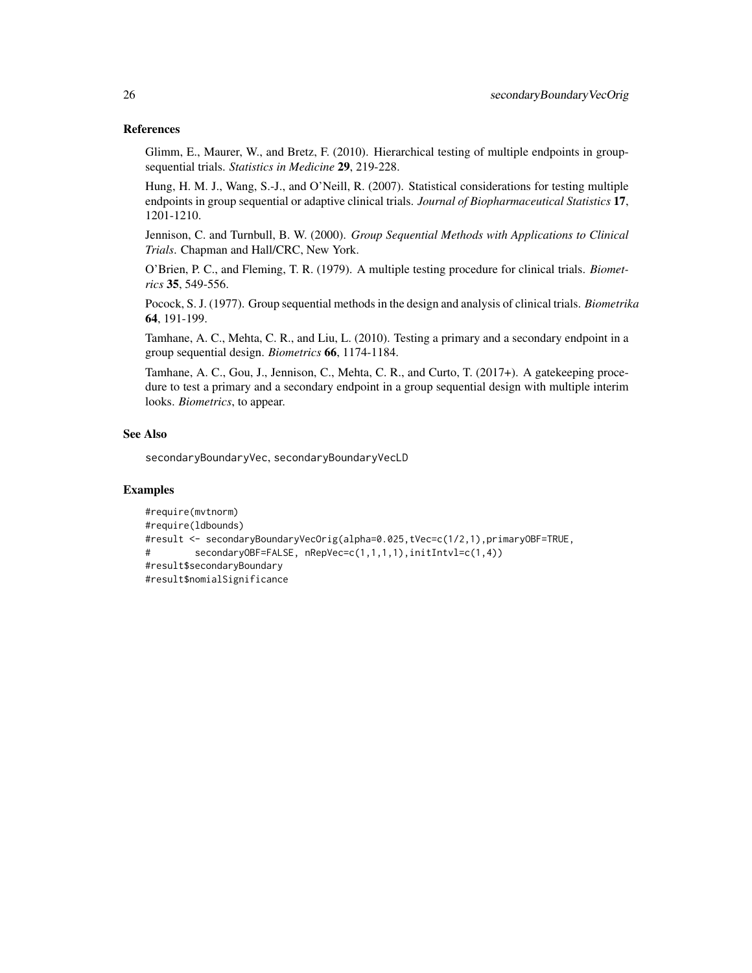### References

Glimm, E., Maurer, W., and Bretz, F. (2010). Hierarchical testing of multiple endpoints in groupsequential trials. *Statistics in Medicine* 29, 219-228.

Hung, H. M. J., Wang, S.-J., and O'Neill, R. (2007). Statistical considerations for testing multiple endpoints in group sequential or adaptive clinical trials. *Journal of Biopharmaceutical Statistics* 17, 1201-1210.

Jennison, C. and Turnbull, B. W. (2000). *Group Sequential Methods with Applications to Clinical Trials*. Chapman and Hall/CRC, New York.

O'Brien, P. C., and Fleming, T. R. (1979). A multiple testing procedure for clinical trials. *Biometrics* 35, 549-556.

Pocock, S. J. (1977). Group sequential methods in the design and analysis of clinical trials. *Biometrika* 64, 191-199.

Tamhane, A. C., Mehta, C. R., and Liu, L. (2010). Testing a primary and a secondary endpoint in a group sequential design. *Biometrics* 66, 1174-1184.

Tamhane, A. C., Gou, J., Jennison, C., Mehta, C. R., and Curto, T. (2017+). A gatekeeping procedure to test a primary and a secondary endpoint in a group sequential design with multiple interim looks. *Biometrics*, to appear.

#### See Also

secondaryBoundaryVec, secondaryBoundaryVecLD

### Examples

```
#require(mvtnorm)
#require(ldbounds)
#result <- secondaryBoundaryVecOrig(alpha=0.025,tVec=c(1/2,1),primaryOBF=TRUE,
# secondaryOBF=FALSE, nRepVec=c(1,1,1,1),initIntvl=c(1,4))
#result$secondaryBoundary
#result$nomialSignificance
```